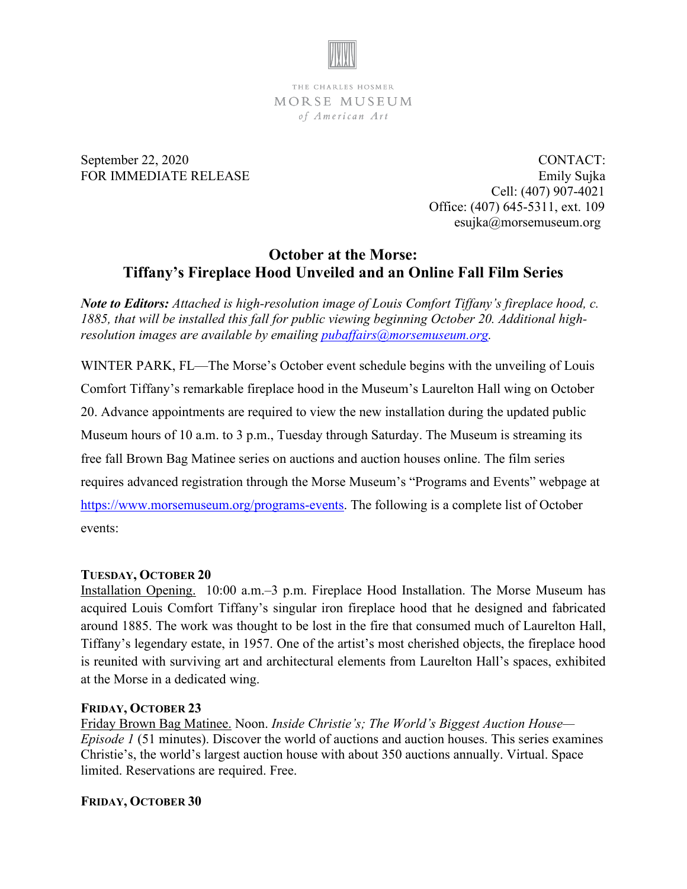

THE CHARLES HOSMER MORSE MUSEUM of American Art

September 22, 2020 CONTACT: FOR IMMEDIATE RELEASE Emily Sujka Cell: (407) 907-4021 Office: (407) 645-5311, ext. 109 esujka@morsemuseum.org

## **October at the Morse: Tiffany's Fireplace Hood Unveiled and an Online Fall Film Series**

*Note to Editors: Attached is high-resolution image of Louis Comfort Tiffany's fireplace hood, c. 1885, that will be installed this fall for public viewing beginning October 20. Additional highresolution images are available by emailing [pubaffairs@morsemuseum.org.](mailto:pubaffairs@morsemuseum.org)* 

WINTER PARK, FL—The Morse's October event schedule begins with the unveiling of Louis Comfort Tiffany's remarkable fireplace hood in the Museum's Laurelton Hall wing on October 20. Advance appointments are required to view the new installation during the updated public Museum hours of 10 a.m. to 3 p.m., Tuesday through Saturday. The Museum is streaming its free fall Brown Bag Matinee series on auctions and auction houses online. The film series requires advanced registration through the Morse Museum's "Programs and Events" webpage at [https://www.morsemuseum.org/programs-events.](https://www.morsemuseum.org/programs-events) The following is a complete list of October events:

## **TUESDAY, OCTOBER 20**

Installation Opening. 10:00 a.m.–3 p.m. Fireplace Hood Installation. The Morse Museum has acquired Louis Comfort Tiffany's singular iron fireplace hood that he designed and fabricated around 1885. The work was thought to be lost in the fire that consumed much of Laurelton Hall, Tiffany's legendary estate, in 1957. One of the artist's most cherished objects, the fireplace hood is reunited with surviving art and architectural elements from Laurelton Hall's spaces, exhibited at the Morse in a dedicated wing.

## **FRIDAY, OCTOBER 23**

Friday Brown Bag Matinee. Noon. *Inside Christie's; The World's Biggest Auction House— Episode 1* (51 minutes). Discover the world of auctions and auction houses. This series examines Christie's, the world's largest auction house with about 350 auctions annually. Virtual. Space limited. Reservations are required. Free.

## **FRIDAY, OCTOBER 30**